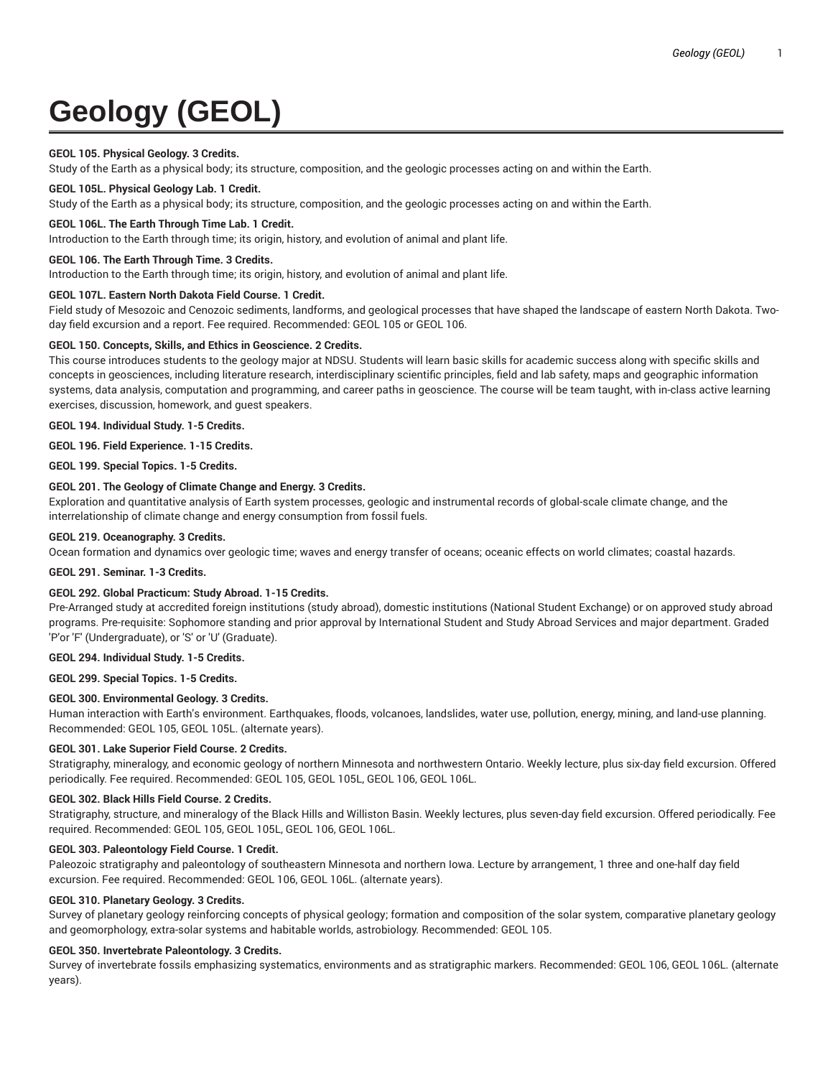# **Geology (GEOL)**

# **GEOL 105. Physical Geology. 3 Credits.**

Study of the Earth as a physical body; its structure, composition, and the geologic processes acting on and within the Earth.

# **GEOL 105L. Physical Geology Lab. 1 Credit.**

Study of the Earth as a physical body; its structure, composition, and the geologic processes acting on and within the Earth.

# **GEOL 106L. The Earth Through Time Lab. 1 Credit.**

Introduction to the Earth through time; its origin, history, and evolution of animal and plant life.

# **GEOL 106. The Earth Through Time. 3 Credits.**

Introduction to the Earth through time; its origin, history, and evolution of animal and plant life.

# **GEOL 107L. Eastern North Dakota Field Course. 1 Credit.**

Field study of Mesozoic and Cenozoic sediments, landforms, and geological processes that have shaped the landscape of eastern North Dakota. Twoday field excursion and a report. Fee required. Recommended: GEOL 105 or GEOL 106.

# **GEOL 150. Concepts, Skills, and Ethics in Geoscience. 2 Credits.**

This course introduces students to the geology major at NDSU. Students will learn basic skills for academic success along with specific skills and concepts in geosciences, including literature research, interdisciplinary scientific principles, field and lab safety, maps and geographic information systems, data analysis, computation and programming, and career paths in geoscience. The course will be team taught, with in-class active learning exercises, discussion, homework, and guest speakers.

**GEOL 194. Individual Study. 1-5 Credits.**

# **GEOL 196. Field Experience. 1-15 Credits.**

**GEOL 199. Special Topics. 1-5 Credits.**

# **GEOL 201. The Geology of Climate Change and Energy. 3 Credits.**

Exploration and quantitative analysis of Earth system processes, geologic and instrumental records of global-scale climate change, and the interrelationship of climate change and energy consumption from fossil fuels.

# **GEOL 219. Oceanography. 3 Credits.**

Ocean formation and dynamics over geologic time; waves and energy transfer of oceans; oceanic effects on world climates; coastal hazards.

# **GEOL 291. Seminar. 1-3 Credits.**

## **GEOL 292. Global Practicum: Study Abroad. 1-15 Credits.**

Pre-Arranged study at accredited foreign institutions (study abroad), domestic institutions (National Student Exchange) or on approved study abroad programs. Pre-requisite: Sophomore standing and prior approval by International Student and Study Abroad Services and major department. Graded 'P'or 'F' (Undergraduate), or 'S' or 'U' (Graduate).

# **GEOL 294. Individual Study. 1-5 Credits.**

**GEOL 299. Special Topics. 1-5 Credits.**

# **GEOL 300. Environmental Geology. 3 Credits.**

Human interaction with Earth's environment. Earthquakes, floods, volcanoes, landslides, water use, pollution, energy, mining, and land-use planning. Recommended: GEOL 105, GEOL 105L. (alternate years).

# **GEOL 301. Lake Superior Field Course. 2 Credits.**

Stratigraphy, mineralogy, and economic geology of northern Minnesota and northwestern Ontario. Weekly lecture, plus six-day field excursion. Offered periodically. Fee required. Recommended: GEOL 105, GEOL 105L, GEOL 106, GEOL 106L.

#### **GEOL 302. Black Hills Field Course. 2 Credits.**

Stratigraphy, structure, and mineralogy of the Black Hills and Williston Basin. Weekly lectures, plus seven-day field excursion. Offered periodically. Fee required. Recommended: GEOL 105, GEOL 105L, GEOL 106, GEOL 106L.

# **GEOL 303. Paleontology Field Course. 1 Credit.**

Paleozoic stratigraphy and paleontology of southeastern Minnesota and northern Iowa. Lecture by arrangement, 1 three and one-half day field excursion. Fee required. Recommended: GEOL 106, GEOL 106L. (alternate years).

#### **GEOL 310. Planetary Geology. 3 Credits.**

Survey of planetary geology reinforcing concepts of physical geology; formation and composition of the solar system, comparative planetary geology and geomorphology, extra-solar systems and habitable worlds, astrobiology. Recommended: GEOL 105.

#### **GEOL 350. Invertebrate Paleontology. 3 Credits.**

Survey of invertebrate fossils emphasizing systematics, environments and as stratigraphic markers. Recommended: GEOL 106, GEOL 106L. (alternate years).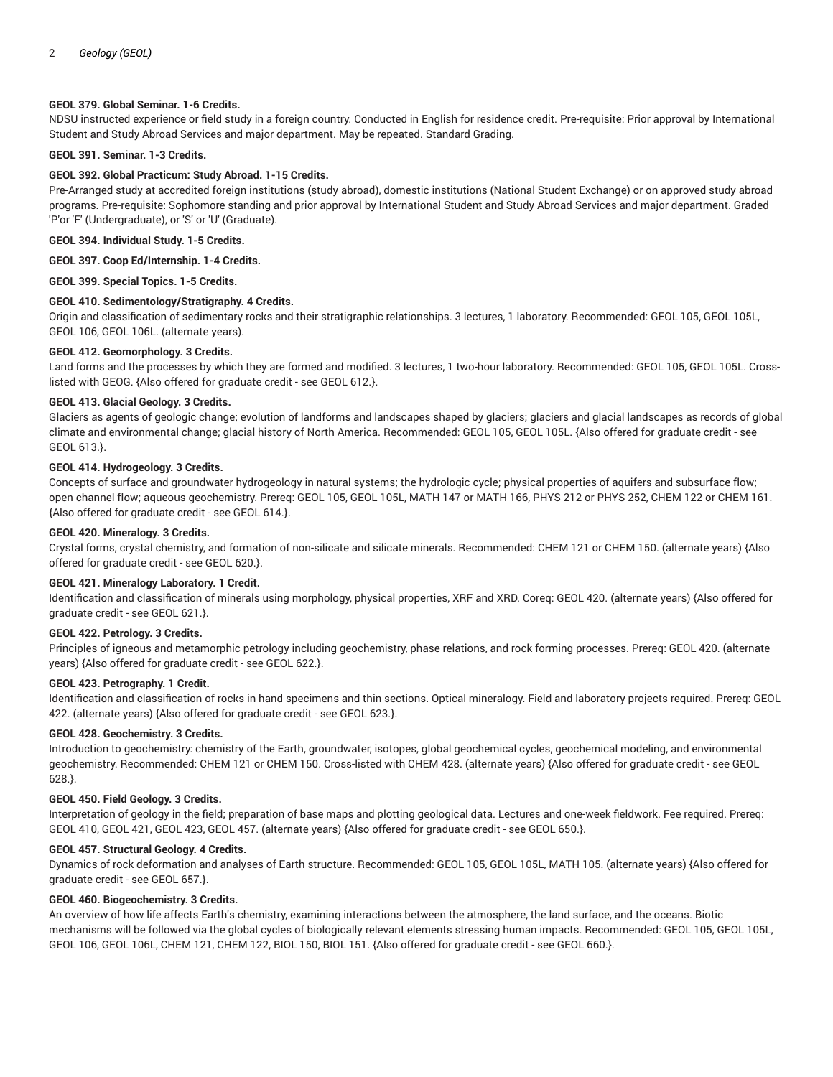# **GEOL 379. Global Seminar. 1-6 Credits.**

NDSU instructed experience or field study in a foreign country. Conducted in English for residence credit. Pre-requisite: Prior approval by International Student and Study Abroad Services and major department. May be repeated. Standard Grading.

# **GEOL 391. Seminar. 1-3 Credits.**

# **GEOL 392. Global Practicum: Study Abroad. 1-15 Credits.**

Pre-Arranged study at accredited foreign institutions (study abroad), domestic institutions (National Student Exchange) or on approved study abroad programs. Pre-requisite: Sophomore standing and prior approval by International Student and Study Abroad Services and major department. Graded 'P'or 'F' (Undergraduate), or 'S' or 'U' (Graduate).

**GEOL 394. Individual Study. 1-5 Credits.**

**GEOL 397. Coop Ed/Internship. 1-4 Credits.**

**GEOL 399. Special Topics. 1-5 Credits.**

# **GEOL 410. Sedimentology/Stratigraphy. 4 Credits.**

Origin and classification of sedimentary rocks and their stratigraphic relationships. 3 lectures, 1 laboratory. Recommended: GEOL 105, GEOL 105L, GEOL 106, GEOL 106L. (alternate years).

# **GEOL 412. Geomorphology. 3 Credits.**

Land forms and the processes by which they are formed and modified. 3 lectures, 1 two-hour laboratory. Recommended: GEOL 105, GEOL 105L. Crosslisted with GEOG. {Also offered for graduate credit - see GEOL 612.}.

# **GEOL 413. Glacial Geology. 3 Credits.**

Glaciers as agents of geologic change; evolution of landforms and landscapes shaped by glaciers; glaciers and glacial landscapes as records of global climate and environmental change; glacial history of North America. Recommended: GEOL 105, GEOL 105L. {Also offered for graduate credit - see GEOL 613.}.

# **GEOL 414. Hydrogeology. 3 Credits.**

Concepts of surface and groundwater hydrogeology in natural systems; the hydrologic cycle; physical properties of aquifers and subsurface flow; open channel flow; aqueous geochemistry. Prereq: GEOL 105, GEOL 105L, MATH 147 or MATH 166, PHYS 212 or PHYS 252, CHEM 122 or CHEM 161. {Also offered for graduate credit - see GEOL 614.}.

#### **GEOL 420. Mineralogy. 3 Credits.**

Crystal forms, crystal chemistry, and formation of non-silicate and silicate minerals. Recommended: CHEM 121 or CHEM 150. (alternate years) {Also offered for graduate credit - see GEOL 620.}.

# **GEOL 421. Mineralogy Laboratory. 1 Credit.**

Identification and classification of minerals using morphology, physical properties, XRF and XRD. Coreq: GEOL 420. (alternate years) {Also offered for graduate credit - see GEOL 621.}.

# **GEOL 422. Petrology. 3 Credits.**

Principles of igneous and metamorphic petrology including geochemistry, phase relations, and rock forming processes. Prereq: GEOL 420. (alternate years) {Also offered for graduate credit - see GEOL 622.}.

# **GEOL 423. Petrography. 1 Credit.**

Identification and classification of rocks in hand specimens and thin sections. Optical mineralogy. Field and laboratory projects required. Prereq: GEOL 422. (alternate years) {Also offered for graduate credit - see GEOL 623.}.

#### **GEOL 428. Geochemistry. 3 Credits.**

Introduction to geochemistry: chemistry of the Earth, groundwater, isotopes, global geochemical cycles, geochemical modeling, and environmental geochemistry. Recommended: CHEM 121 or CHEM 150. Cross-listed with CHEM 428. (alternate years) {Also offered for graduate credit - see GEOL 628.}.

# **GEOL 450. Field Geology. 3 Credits.**

Interpretation of geology in the field; preparation of base maps and plotting geological data. Lectures and one-week fieldwork. Fee required. Prereq: GEOL 410, GEOL 421, GEOL 423, GEOL 457. (alternate years) {Also offered for graduate credit - see GEOL 650.}.

# **GEOL 457. Structural Geology. 4 Credits.**

Dynamics of rock deformation and analyses of Earth structure. Recommended: GEOL 105, GEOL 105L, MATH 105. (alternate years) {Also offered for graduate credit - see GEOL 657.}.

# **GEOL 460. Biogeochemistry. 3 Credits.**

An overview of how life affects Earth's chemistry, examining interactions between the atmosphere, the land surface, and the oceans. Biotic mechanisms will be followed via the global cycles of biologically relevant elements stressing human impacts. Recommended: GEOL 105, GEOL 105L, GEOL 106, GEOL 106L, CHEM 121, CHEM 122, BIOL 150, BIOL 151. {Also offered for graduate credit - see GEOL 660.}.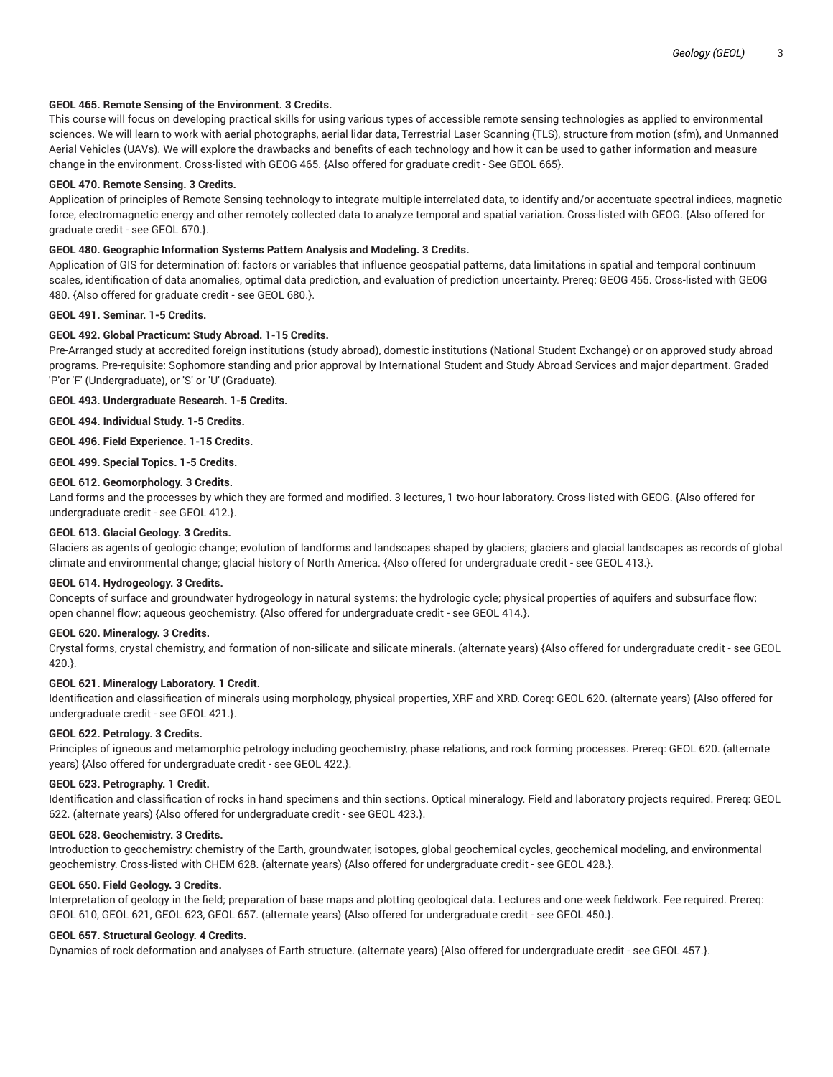# **GEOL 465. Remote Sensing of the Environment. 3 Credits.**

This course will focus on developing practical skills for using various types of accessible remote sensing technologies as applied to environmental sciences. We will learn to work with aerial photographs, aerial lidar data, Terrestrial Laser Scanning (TLS), structure from motion (sfm), and Unmanned Aerial Vehicles (UAVs). We will explore the drawbacks and benefits of each technology and how it can be used to gather information and measure change in the environment. Cross-listed with GEOG 465. {Also offered for graduate credit - See GEOL 665}.

## **GEOL 470. Remote Sensing. 3 Credits.**

Application of principles of Remote Sensing technology to integrate multiple interrelated data, to identify and/or accentuate spectral indices, magnetic force, electromagnetic energy and other remotely collected data to analyze temporal and spatial variation. Cross-listed with GEOG. {Also offered for graduate credit - see GEOL 670.}.

#### **GEOL 480. Geographic Information Systems Pattern Analysis and Modeling. 3 Credits.**

Application of GIS for determination of: factors or variables that influence geospatial patterns, data limitations in spatial and temporal continuum scales, identification of data anomalies, optimal data prediction, and evaluation of prediction uncertainty. Prereq: GEOG 455. Cross-listed with GEOG 480. {Also offered for graduate credit - see GEOL 680.}.

# **GEOL 491. Seminar. 1-5 Credits.**

# **GEOL 492. Global Practicum: Study Abroad. 1-15 Credits.**

Pre-Arranged study at accredited foreign institutions (study abroad), domestic institutions (National Student Exchange) or on approved study abroad programs. Pre-requisite: Sophomore standing and prior approval by International Student and Study Abroad Services and major department. Graded 'P'or 'F' (Undergraduate), or 'S' or 'U' (Graduate).

# **GEOL 493. Undergraduate Research. 1-5 Credits.**

**GEOL 494. Individual Study. 1-5 Credits.**

**GEOL 496. Field Experience. 1-15 Credits.**

**GEOL 499. Special Topics. 1-5 Credits.**

# **GEOL 612. Geomorphology. 3 Credits.**

Land forms and the processes by which they are formed and modified. 3 lectures, 1 two-hour laboratory. Cross-listed with GEOG. {Also offered for undergraduate credit - see GEOL 412.}.

# **GEOL 613. Glacial Geology. 3 Credits.**

Glaciers as agents of geologic change; evolution of landforms and landscapes shaped by glaciers; glaciers and glacial landscapes as records of global climate and environmental change; glacial history of North America. {Also offered for undergraduate credit - see GEOL 413.}.

# **GEOL 614. Hydrogeology. 3 Credits.**

Concepts of surface and groundwater hydrogeology in natural systems; the hydrologic cycle; physical properties of aquifers and subsurface flow; open channel flow; aqueous geochemistry. {Also offered for undergraduate credit - see GEOL 414.}.

# **GEOL 620. Mineralogy. 3 Credits.**

Crystal forms, crystal chemistry, and formation of non-silicate and silicate minerals. (alternate years) {Also offered for undergraduate credit - see GEOL 420.}.

# **GEOL 621. Mineralogy Laboratory. 1 Credit.**

Identification and classification of minerals using morphology, physical properties, XRF and XRD. Coreq: GEOL 620. (alternate years) {Also offered for undergraduate credit - see GEOL 421.}.

#### **GEOL 622. Petrology. 3 Credits.**

Principles of igneous and metamorphic petrology including geochemistry, phase relations, and rock forming processes. Prereq: GEOL 620. (alternate years) {Also offered for undergraduate credit - see GEOL 422.}.

#### **GEOL 623. Petrography. 1 Credit.**

Identification and classification of rocks in hand specimens and thin sections. Optical mineralogy. Field and laboratory projects required. Prereq: GEOL 622. (alternate years) {Also offered for undergraduate credit - see GEOL 423.}.

#### **GEOL 628. Geochemistry. 3 Credits.**

Introduction to geochemistry: chemistry of the Earth, groundwater, isotopes, global geochemical cycles, geochemical modeling, and environmental geochemistry. Cross-listed with CHEM 628. (alternate years) {Also offered for undergraduate credit - see GEOL 428.}.

#### **GEOL 650. Field Geology. 3 Credits.**

Interpretation of geology in the field; preparation of base maps and plotting geological data. Lectures and one-week fieldwork. Fee required. Prereq: GEOL 610, GEOL 621, GEOL 623, GEOL 657. (alternate years) {Also offered for undergraduate credit - see GEOL 450.}.

#### **GEOL 657. Structural Geology. 4 Credits.**

Dynamics of rock deformation and analyses of Earth structure. (alternate years) {Also offered for undergraduate credit - see GEOL 457.}.